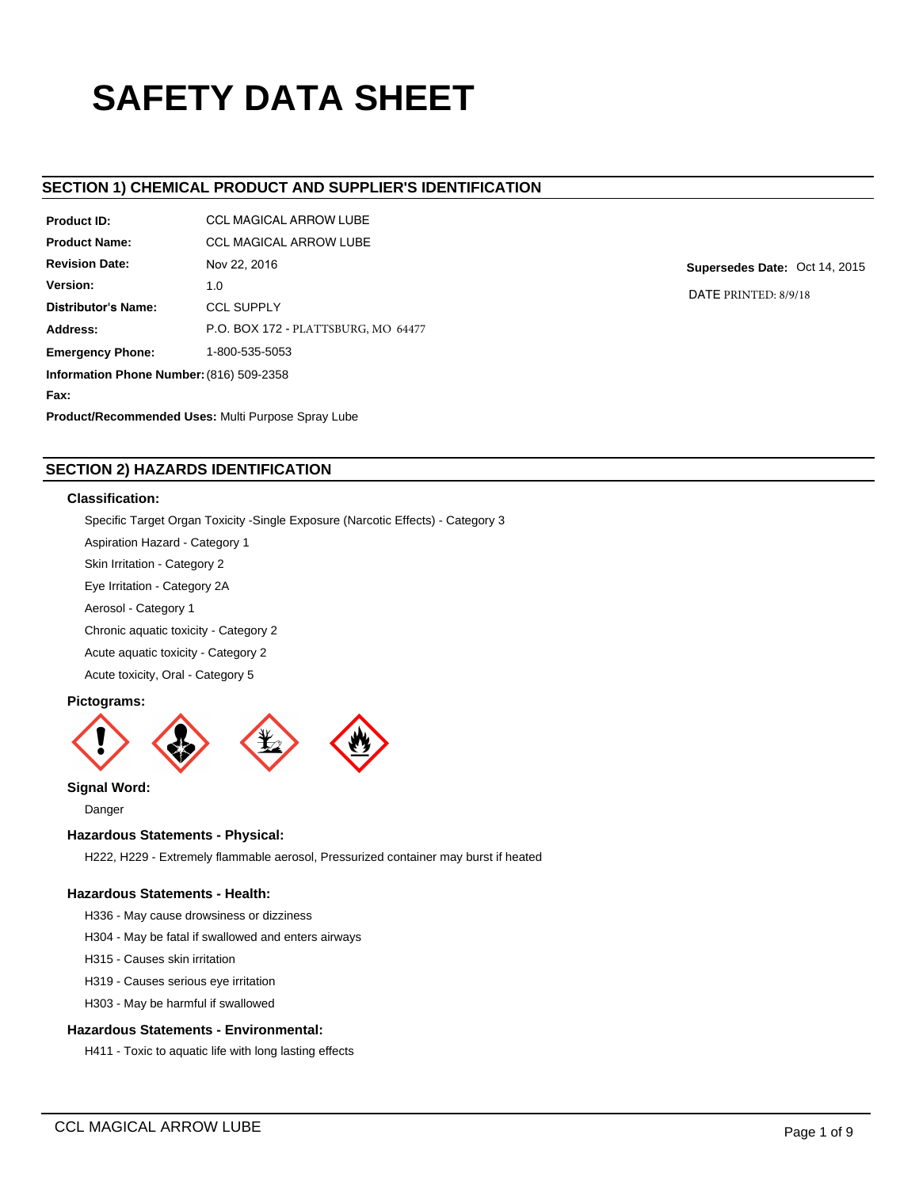# **SAFETY DATA SHEET**

## **SECTION 1) CHEMICAL PRODUCT AND SUPPLIER'S IDENTIFICATION**

| <b>Product ID:</b>                                        | <b>CCL MAGICAL ARROW LUBE</b>       |  |  |  |
|-----------------------------------------------------------|-------------------------------------|--|--|--|
| <b>Product Name:</b>                                      | <b>CCL MAGICAL ARROW LUBE</b>       |  |  |  |
| <b>Revision Date:</b>                                     | Nov 22, 2016                        |  |  |  |
| Version:                                                  | 1.0                                 |  |  |  |
| Distributor's Name:                                       | <b>CCL SUPPLY</b>                   |  |  |  |
| Address:                                                  | P.O. BOX 172 - PLATTSBURG, MO 64477 |  |  |  |
| 1-800-535-5053<br><b>Emergency Phone:</b>                 |                                     |  |  |  |
| Information Phone Number: (816) 509-2358                  |                                     |  |  |  |
| Fax:                                                      |                                     |  |  |  |
| <b>Product/Recommended Uses: Multi Purpose Spray Lube</b> |                                     |  |  |  |

**Supersedes Date:** Oct 14, 2015

DATE PRINTED: 8/9/18

## **SECTION 2) HAZARDS IDENTIFICATION**

### **Classification:**

Specific Target Organ Toxicity -Single Exposure (Narcotic Effects) - Category 3

Aspiration Hazard - Category 1

Skin Irritation - Category 2

Eye Irritation - Category 2A

Aerosol - Category 1

Chronic aquatic toxicity - Category 2

Acute aquatic toxicity - Category 2

Acute toxicity, Oral - Category 5

## **Pictograms:**



**Signal Word:**

Danger

## **Hazardous Statements - Physical:**

H222, H229 - Extremely flammable aerosol, Pressurized container may burst if heated

#### **Hazardous Statements - Health:**

H336 - May cause drowsiness or dizziness

- H304 May be fatal if swallowed and enters airways
- H315 Causes skin irritation
- H319 Causes serious eye irritation
- H303 May be harmful if swallowed

## **Hazardous Statements - Environmental:**

H411 - Toxic to aquatic life with long lasting effects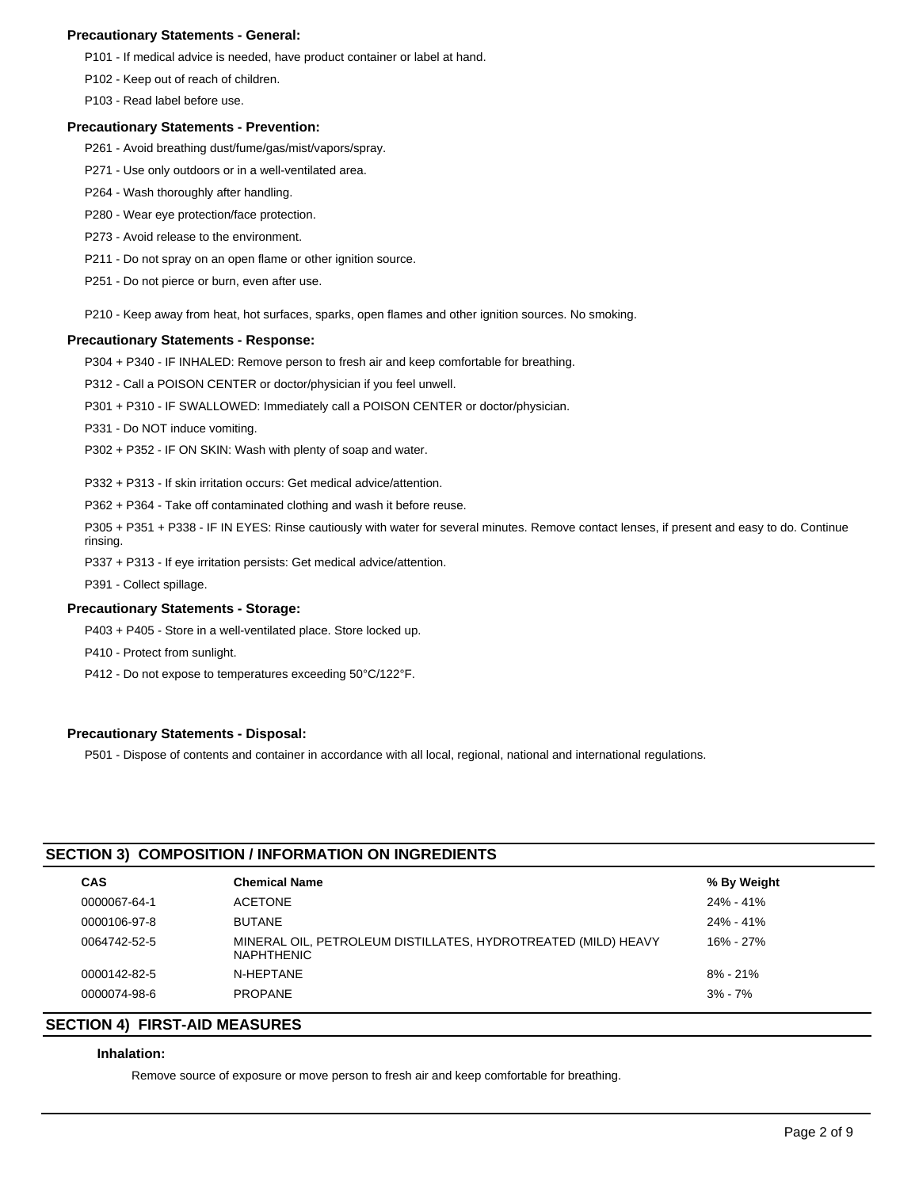#### **Precautionary Statements - General:**

P101 - If medical advice is needed, have product container or label at hand.

P102 - Keep out of reach of children.

P103 - Read label before use.

#### **Precautionary Statements - Prevention:**

- P261 Avoid breathing dust/fume/gas/mist/vapors/spray.
- P271 Use only outdoors or in a well-ventilated area.
- P264 Wash thoroughly after handling.
- P280 Wear eye protection/face protection.
- P273 Avoid release to the environment.
- P211 Do not spray on an open flame or other ignition source.
- P251 Do not pierce or burn, even after use.
- P210 Keep away from heat, hot surfaces, sparks, open flames and other ignition sources. No smoking.

#### **Precautionary Statements - Response:**

P304 + P340 - IF INHALED: Remove person to fresh air and keep comfortable for breathing.

P312 - Call a POISON CENTER or doctor/physician if you feel unwell.

P301 + P310 - IF SWALLOWED: Immediately call a POISON CENTER or doctor/physician.

P331 - Do NOT induce vomiting.

P302 + P352 - IF ON SKIN: Wash with plenty of soap and water.

P332 + P313 - If skin irritation occurs: Get medical advice/attention.

P362 + P364 - Take off contaminated clothing and wash it before reuse.

P305 + P351 + P338 - IF IN EYES: Rinse cautiously with water for several minutes. Remove contact lenses, if present and easy to do. Continue rinsing.

P337 + P313 - If eye irritation persists: Get medical advice/attention.

P391 - Collect spillage.

## **Precautionary Statements - Storage:**

P403 + P405 - Store in a well-ventilated place. Store locked up.

P410 - Protect from sunlight.

P412 - Do not expose to temperatures exceeding 50°C/122°F.

## **Precautionary Statements - Disposal:**

P501 - Dispose of contents and container in accordance with all local, regional, national and international regulations.

## **SECTION 3) COMPOSITION / INFORMATION ON INGREDIENTS**

| <b>CAS</b>   | <b>Chemical Name</b>                                                               | % By Weight  |
|--------------|------------------------------------------------------------------------------------|--------------|
| 0000067-64-1 | <b>ACETONE</b>                                                                     | 24% - 41%    |
| 0000106-97-8 | <b>BUTANE</b>                                                                      | 24% - 41%    |
| 0064742-52-5 | MINERAL OIL, PETROLEUM DISTILLATES, HYDROTREATED (MILD) HEAVY<br><b>NAPHTHENIC</b> | 16% - 27%    |
| 0000142-82-5 | N-HEPTANE                                                                          | $8\% - 21\%$ |
| 0000074-98-6 | <b>PROPANE</b>                                                                     | $3\% - 7\%$  |
|              |                                                                                    |              |

## **SECTION 4) FIRST-AID MEASURES**

#### **Inhalation:**

Remove source of exposure or move person to fresh air and keep comfortable for breathing.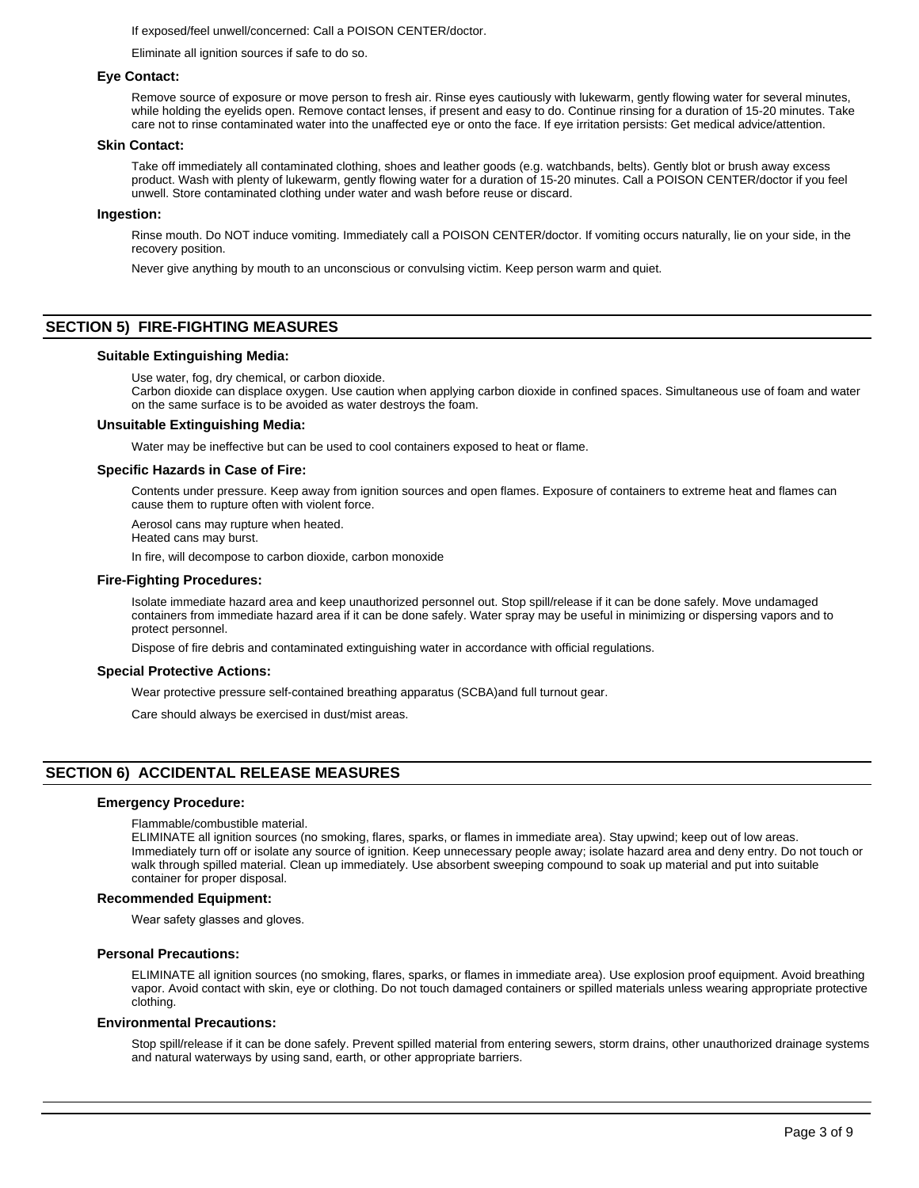If exposed/feel unwell/concerned: Call a POISON CENTER/doctor.

Eliminate all ignition sources if safe to do so.

#### **Eye Contact:**

Remove source of exposure or move person to fresh air. Rinse eyes cautiously with lukewarm, gently flowing water for several minutes, while holding the eyelids open. Remove contact lenses, if present and easy to do. Continue rinsing for a duration of 15-20 minutes. Take care not to rinse contaminated water into the unaffected eye or onto the face. If eye irritation persists: Get medical advice/attention.

#### **Skin Contact:**

Take off immediately all contaminated clothing, shoes and leather goods (e.g. watchbands, belts). Gently blot or brush away excess product. Wash with plenty of lukewarm, gently flowing water for a duration of 15-20 minutes. Call a POISON CENTER/doctor if you feel unwell. Store contaminated clothing under water and wash before reuse or discard.

#### **Ingestion:**

Rinse mouth. Do NOT induce vomiting. Immediately call a POISON CENTER/doctor. If vomiting occurs naturally, lie on your side, in the recovery position.

Never give anything by mouth to an unconscious or convulsing victim. Keep person warm and quiet.

## **SECTION 5) FIRE-FIGHTING MEASURES**

#### **Suitable Extinguishing Media:**

Use water, fog, dry chemical, or carbon dioxide.

Carbon dioxide can displace oxygen. Use caution when applying carbon dioxide in confined spaces. Simultaneous use of foam and water on the same surface is to be avoided as water destroys the foam.

#### **Unsuitable Extinguishing Media:**

Water may be ineffective but can be used to cool containers exposed to heat or flame.

#### **Specific Hazards in Case of Fire:**

Contents under pressure. Keep away from ignition sources and open flames. Exposure of containers to extreme heat and flames can cause them to rupture often with violent force.

Aerosol cans may rupture when heated.

Heated cans may burst.

In fire, will decompose to carbon dioxide, carbon monoxide

#### **Fire-Fighting Procedures:**

Isolate immediate hazard area and keep unauthorized personnel out. Stop spill/release if it can be done safely. Move undamaged containers from immediate hazard area if it can be done safely. Water spray may be useful in minimizing or dispersing vapors and to protect personnel.

Dispose of fire debris and contaminated extinguishing water in accordance with official regulations.

#### **Special Protective Actions:**

Wear protective pressure self-contained breathing apparatus (SCBA)and full turnout gear.

Care should always be exercised in dust/mist areas.

#### **SECTION 6) ACCIDENTAL RELEASE MEASURES**

#### **Emergency Procedure:**

Flammable/combustible material.

ELIMINATE all ignition sources (no smoking, flares, sparks, or flames in immediate area). Stay upwind; keep out of low areas. Immediately turn off or isolate any source of ignition. Keep unnecessary people away; isolate hazard area and deny entry. Do not touch or walk through spilled material. Clean up immediately. Use absorbent sweeping compound to soak up material and put into suitable container for proper disposal.

#### **Recommended Equipment:**

Wear safety glasses and gloves.

#### **Personal Precautions:**

ELIMINATE all ignition sources (no smoking, flares, sparks, or flames in immediate area). Use explosion proof equipment. Avoid breathing vapor. Avoid contact with skin, eye or clothing. Do not touch damaged containers or spilled materials unless wearing appropriate protective clothing.

#### **Environmental Precautions:**

Stop spill/release if it can be done safely. Prevent spilled material from entering sewers, storm drains, other unauthorized drainage systems and natural waterways by using sand, earth, or other appropriate barriers.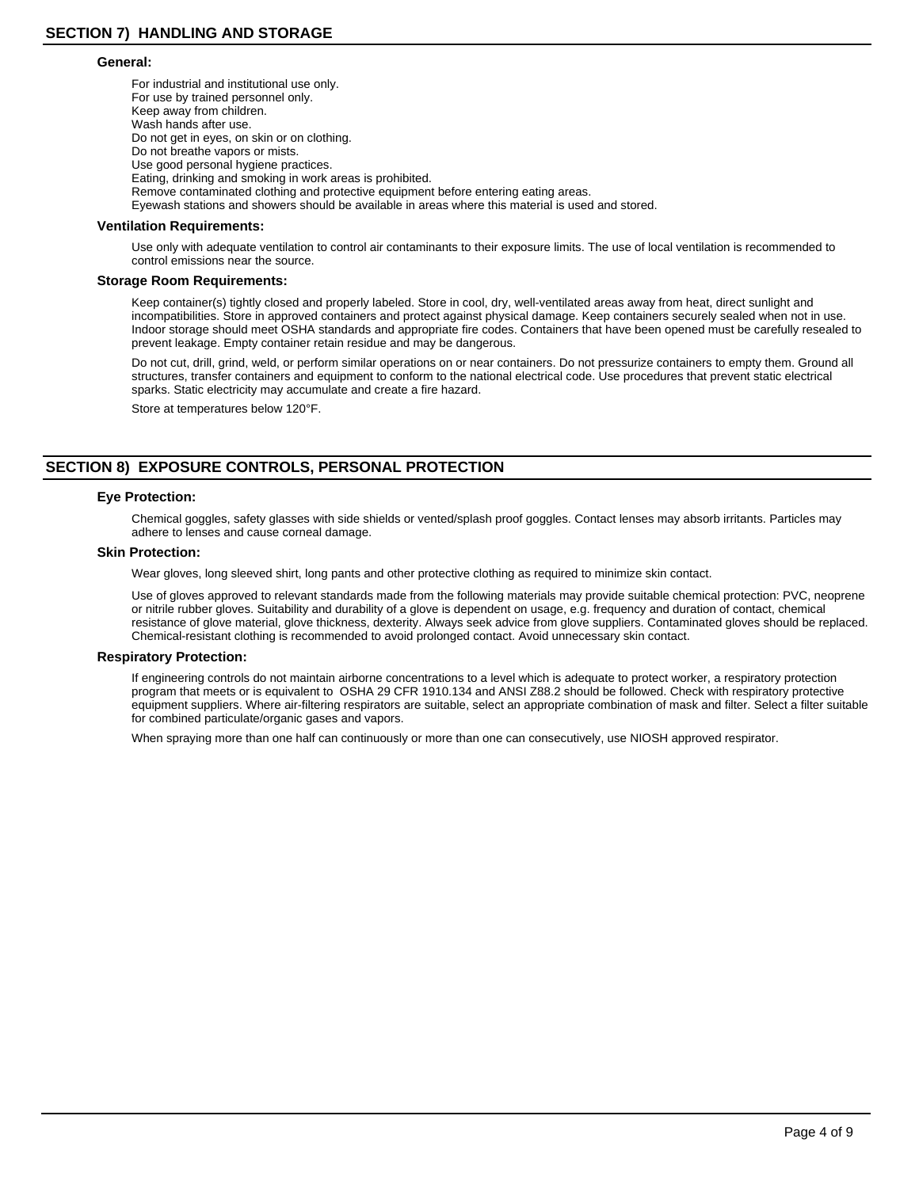#### **General:**

For industrial and institutional use only. For use by trained personnel only. Keep away from children. Wash hands after use. Do not get in eyes, on skin or on clothing. Do not breathe vapors or mists. Use good personal hygiene practices. Eating, drinking and smoking in work areas is prohibited. Remove contaminated clothing and protective equipment before entering eating areas. Eyewash stations and showers should be available in areas where this material is used and stored.

#### **Ventilation Requirements:**

Use only with adequate ventilation to control air contaminants to their exposure limits. The use of local ventilation is recommended to control emissions near the source.

#### **Storage Room Requirements:**

Keep container(s) tightly closed and properly labeled. Store in cool, dry, well-ventilated areas away from heat, direct sunlight and incompatibilities. Store in approved containers and protect against physical damage. Keep containers securely sealed when not in use. Indoor storage should meet OSHA standards and appropriate fire codes. Containers that have been opened must be carefully resealed to prevent leakage. Empty container retain residue and may be dangerous.

Do not cut, drill, grind, weld, or perform similar operations on or near containers. Do not pressurize containers to empty them. Ground all structures, transfer containers and equipment to conform to the national electrical code. Use procedures that prevent static electrical sparks. Static electricity may accumulate and create a fire hazard.

Store at temperatures below 120°F.

## **SECTION 8) EXPOSURE CONTROLS, PERSONAL PROTECTION**

#### **Eye Protection:**

Chemical goggles, safety glasses with side shields or vented/splash proof goggles. Contact lenses may absorb irritants. Particles may adhere to lenses and cause corneal damage.

#### **Skin Protection:**

Wear gloves, long sleeved shirt, long pants and other protective clothing as required to minimize skin contact.

Use of gloves approved to relevant standards made from the following materials may provide suitable chemical protection: PVC, neoprene or nitrile rubber gloves. Suitability and durability of a glove is dependent on usage, e.g. frequency and duration of contact, chemical resistance of glove material, glove thickness, dexterity. Always seek advice from glove suppliers. Contaminated gloves should be replaced. Chemical-resistant clothing is recommended to avoid prolonged contact. Avoid unnecessary skin contact.

#### **Respiratory Protection:**

If engineering controls do not maintain airborne concentrations to a level which is adequate to protect worker, a respiratory protection program that meets or is equivalent to OSHA 29 CFR 1910.134 and ANSI Z88.2 should be followed. Check with respiratory protective equipment suppliers. Where air-filtering respirators are suitable, select an appropriate combination of mask and filter. Select a filter suitable for combined particulate/organic gases and vapors.

When spraying more than one half can continuously or more than one can consecutively, use NIOSH approved respirator.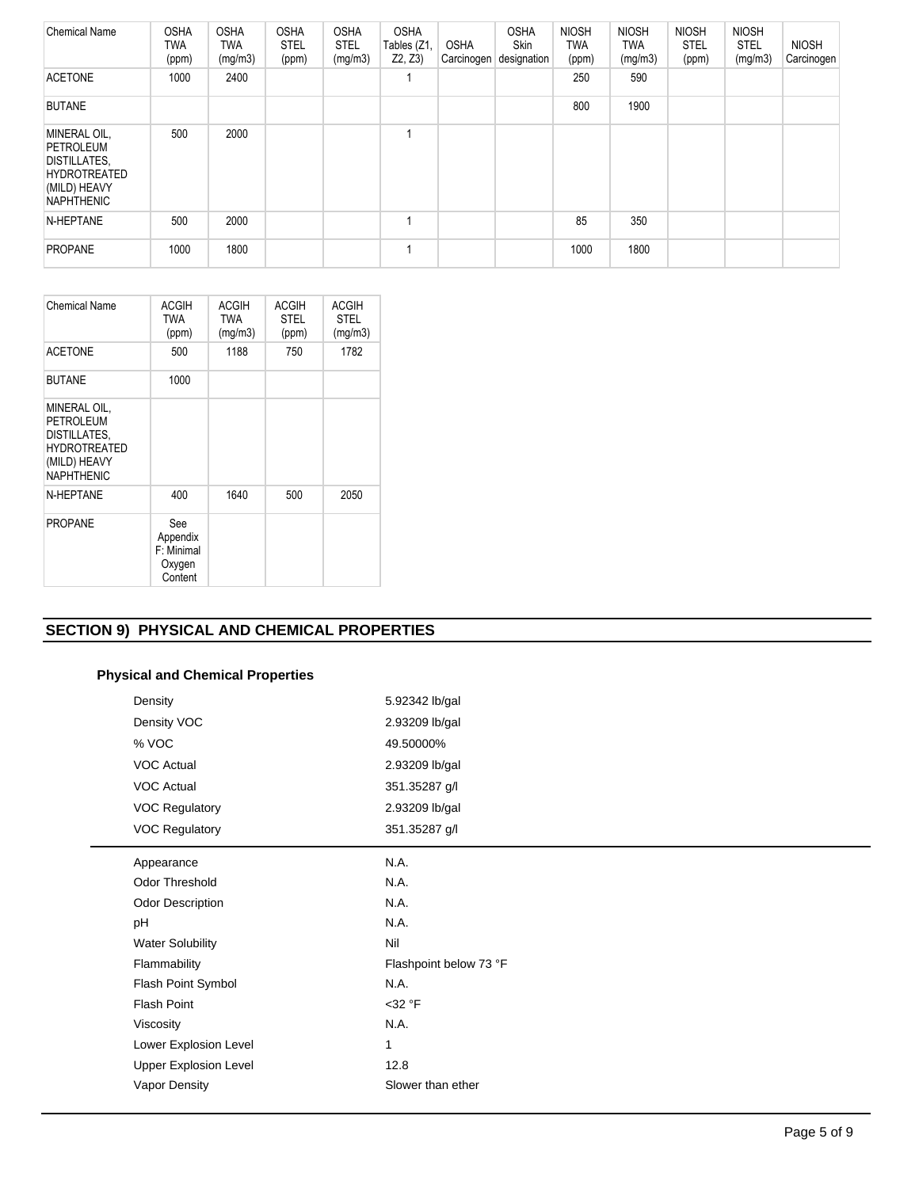| <b>Chemical Name</b>                                                                                                | <b>OSHA</b><br>TWA<br>(ppm) | <b>OSHA</b><br>TWA<br>(mg/m3) | <b>OSHA</b><br><b>STEL</b><br>(ppm) | <b>OSHA</b><br><b>STEL</b><br>(mg/m3) | <b>OSHA</b><br>Tables (Z1,<br>Z2, Z3) | <b>OSHA</b><br>Carcinogen | <b>OSHA</b><br><b>Skin</b><br>designation | <b>NIOSH</b><br><b>TWA</b><br>(ppm) | <b>NIOSH</b><br>TWA<br>(mg/m3) | <b>NIOSH</b><br><b>STEL</b><br>(ppm) | <b>NIOSH</b><br><b>STEL</b><br>(mg/m3) | <b>NIOSH</b><br>Carcinogen |
|---------------------------------------------------------------------------------------------------------------------|-----------------------------|-------------------------------|-------------------------------------|---------------------------------------|---------------------------------------|---------------------------|-------------------------------------------|-------------------------------------|--------------------------------|--------------------------------------|----------------------------------------|----------------------------|
| <b>ACETONE</b>                                                                                                      | 1000                        | 2400                          |                                     |                                       |                                       |                           |                                           | 250                                 | 590                            |                                      |                                        |                            |
| <b>BUTANE</b>                                                                                                       |                             |                               |                                     |                                       |                                       |                           |                                           | 800                                 | 1900                           |                                      |                                        |                            |
| MINERAL OIL,<br><b>PETROLEUM</b><br><b>DISTILLATES.</b><br><b>HYDROTREATED</b><br>(MILD) HEAVY<br><b>NAPHTHENIC</b> | 500                         | 2000                          |                                     |                                       |                                       |                           |                                           |                                     |                                |                                      |                                        |                            |
| N-HEPTANE                                                                                                           | 500                         | 2000                          |                                     |                                       |                                       |                           |                                           | 85                                  | 350                            |                                      |                                        |                            |
| <b>PROPANE</b>                                                                                                      | 1000                        | 1800                          |                                     |                                       |                                       |                           |                                           | 1000                                | 1800                           |                                      |                                        |                            |

| <b>Chemical Name</b>                                                                                         | <b>ACGIH</b><br><b>TWA</b><br>(ppm)                | <b>ACGIH</b><br><b>TWA</b><br>(mg/m3) | <b>ACGIH</b><br><b>STEL</b><br>(ppm) | <b>ACGIH</b><br><b>STEL</b><br>(mg/m3) |
|--------------------------------------------------------------------------------------------------------------|----------------------------------------------------|---------------------------------------|--------------------------------------|----------------------------------------|
| <b>ACETONE</b>                                                                                               | 500                                                | 1188                                  | 750                                  | 1782                                   |
| <b>BUTANE</b>                                                                                                | 1000                                               |                                       |                                      |                                        |
| MINERAL OIL,<br><b>PETROLEUM</b><br>DISTILLATES.<br><b>HYDROTREATED</b><br>(MILD) HEAVY<br><b>NAPHTHENIC</b> |                                                    |                                       |                                      |                                        |
| N-HEPTANE                                                                                                    | 400                                                | 1640                                  | 500                                  | 2050                                   |
| <b>PROPANE</b>                                                                                               | See<br>Appendix<br>F: Minimal<br>Oxygen<br>Content |                                       |                                      |                                        |

## **SECTION 9) PHYSICAL AND CHEMICAL PROPERTIES**

## **Physical and Chemical Properties**

| Density                      | 5.92342 lb/gal         |
|------------------------------|------------------------|
| Density VOC                  | 2.93209 lb/gal         |
| % VOC                        | 49.50000%              |
| VOC Actual                   | 2.93209 lb/gal         |
| VOC Actual                   | 351.35287 g/l          |
| <b>VOC Regulatory</b>        | 2.93209 lb/gal         |
| <b>VOC Regulatory</b>        | 351.35287 g/l          |
| Appearance                   | N.A.                   |
| Odor Threshold               | N.A.                   |
| Odor Description             | N.A.                   |
| pH                           | N.A.                   |
| <b>Water Solubility</b>      | Nil                    |
| Flammability                 | Flashpoint below 73 °F |
| Flash Point Symbol           | N.A.                   |
| Flash Point                  | $<$ 32 °F              |
| Viscosity                    | N.A.                   |
| Lower Explosion Level        | 1                      |
| <b>Upper Explosion Level</b> | 12.8                   |
| Vapor Density                | Slower than ether      |
|                              |                        |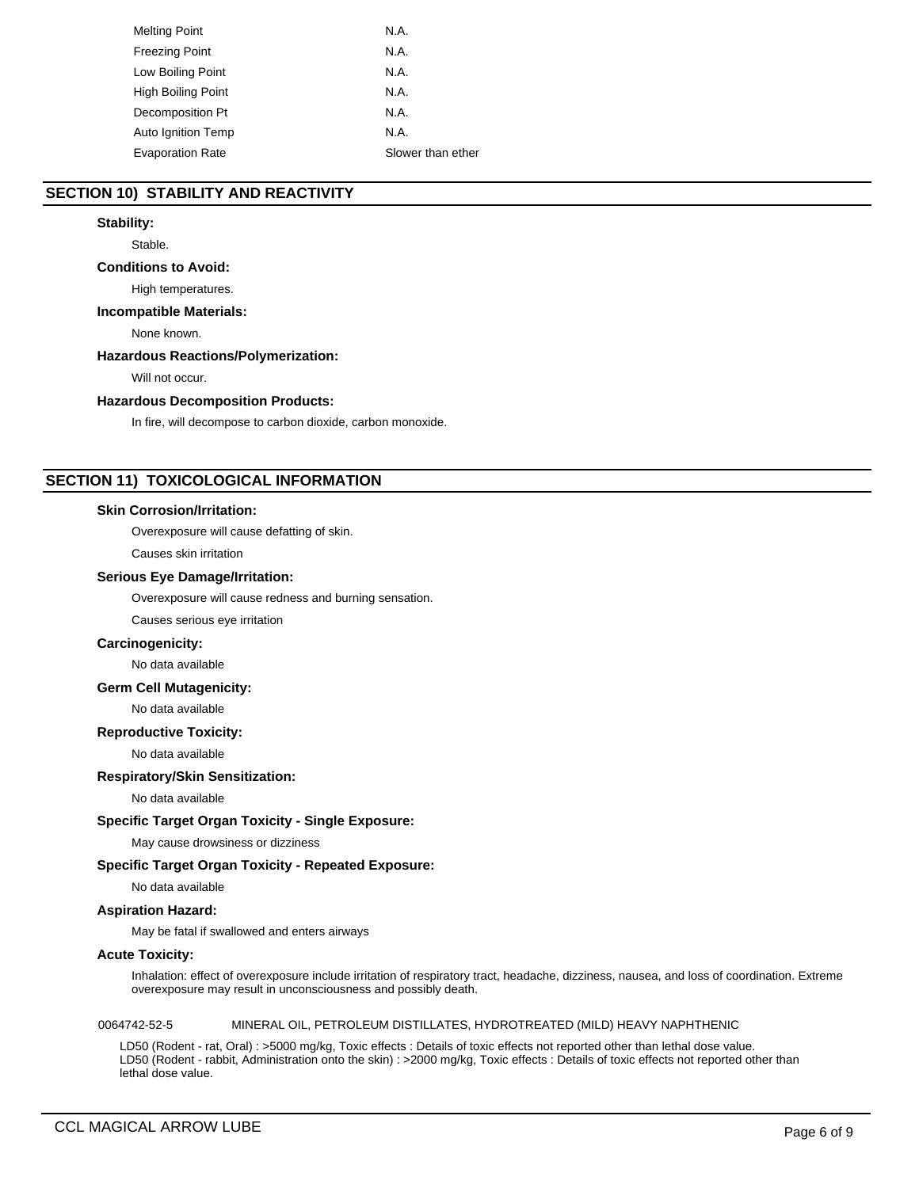| <b>Melting Point</b>      | N.A.              |
|---------------------------|-------------------|
| <b>Freezing Point</b>     | N.A.              |
| Low Boiling Point         | N.A.              |
| <b>High Boiling Point</b> | N.A.              |
| Decomposition Pt          | N.A.              |
| Auto Ignition Temp        | N.A.              |
| <b>Evaporation Rate</b>   | Slower than ether |

## **SECTION 10) STABILITY AND REACTIVITY**

#### **Stability:**

Stable.

#### **Conditions to Avoid:**

High temperatures.

#### **Incompatible Materials:**

None known.

#### **Hazardous Reactions/Polymerization:**

Will not occur.

#### **Hazardous Decomposition Products:**

In fire, will decompose to carbon dioxide, carbon monoxide.

## **SECTION 11) TOXICOLOGICAL INFORMATION**

#### **Skin Corrosion/Irritation:**

Overexposure will cause defatting of skin.

Causes skin irritation

#### **Serious Eye Damage/Irritation:**

Overexposure will cause redness and burning sensation.

Causes serious eye irritation

#### **Carcinogenicity:**

No data available

#### **Germ Cell Mutagenicity:**

No data available

#### **Reproductive Toxicity:**

No data available

## **Respiratory/Skin Sensitization:**

No data available

#### **Specific Target Organ Toxicity - Single Exposure:**

May cause drowsiness or dizziness

## **Specific Target Organ Toxicity - Repeated Exposure:**

# **Aspiration Hazard:**

No data available

May be fatal if swallowed and enters airways

#### **Acute Toxicity:**

Inhalation: effect of overexposure include irritation of respiratory tract, headache, dizziness, nausea, and loss of coordination. Extreme overexposure may result in unconsciousness and possibly death.

#### 0064742-52-5 MINERAL OIL, PETROLEUM DISTILLATES, HYDROTREATED (MILD) HEAVY NAPHTHENIC

LD50 (Rodent - rat, Oral) : >5000 mg/kg, Toxic effects : Details of toxic effects not reported other than lethal dose value. LD50 (Rodent - rabbit, Administration onto the skin) : >2000 mg/kg, Toxic effects : Details of toxic effects not reported other than lethal dose value.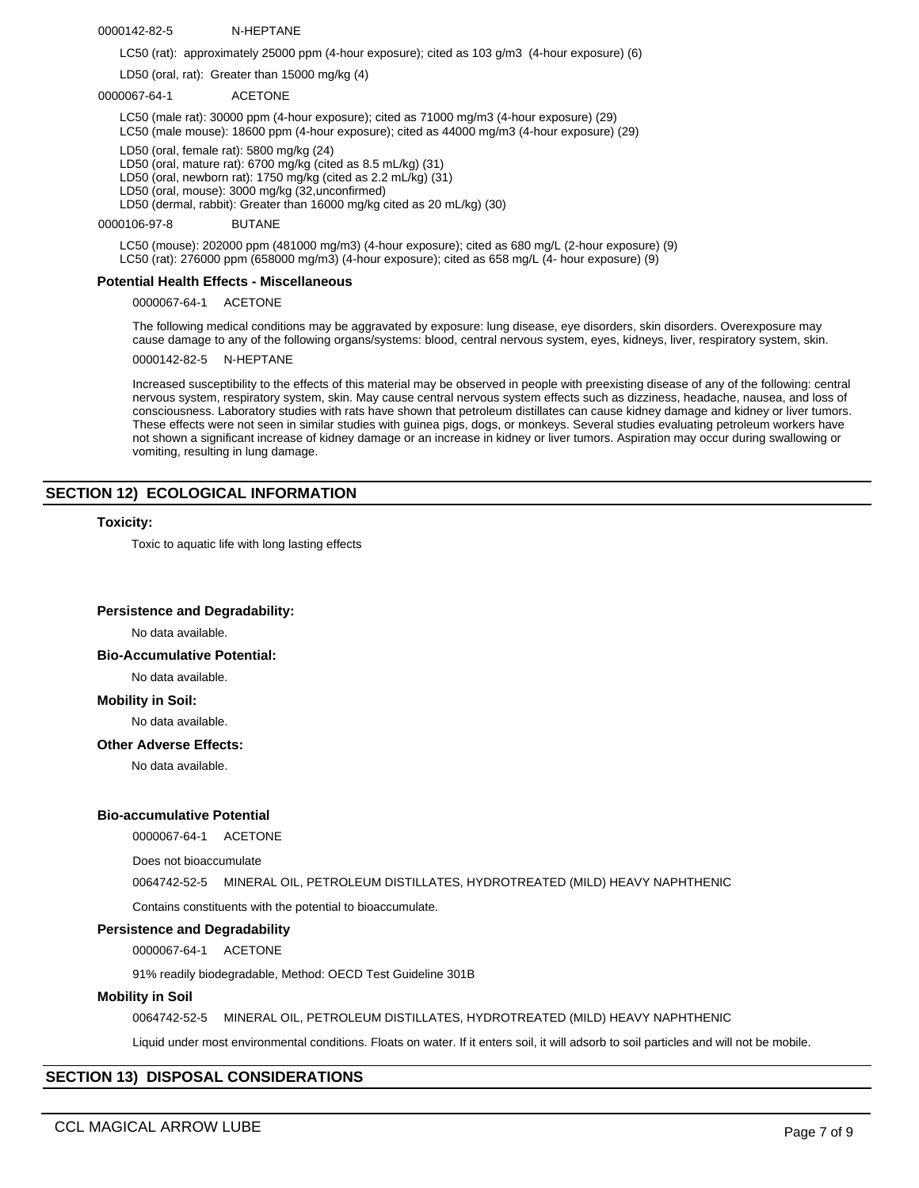0000142-82-5 N-HEPTANE

LC50 (rat): approximately 25000 ppm (4-hour exposure); cited as 103 g/m3 (4-hour exposure) (6)

LD50 (oral, rat): Greater than 15000 mg/kg (4)

#### 0000067-64-1 ACETONE

LC50 (male rat): 30000 ppm (4-hour exposure); cited as 71000 mg/m3 (4-hour exposure) (29) LC50 (male mouse): 18600 ppm (4-hour exposure); cited as 44000 mg/m3 (4-hour exposure) (29)

LD50 (oral, female rat): 5800 mg/kg (24)

LD50 (oral, mature rat): 6700 mg/kg (cited as 8.5 mL/kg) (31) LD50 (oral, newborn rat): 1750 mg/kg (cited as 2.2 mL/kg) (31)

LD50 (oral, mouse): 3000 mg/kg (32,unconfirmed)

LD50 (dermal, rabbit): Greater than 16000 mg/kg cited as 20 mL/kg) (30)

#### 0000106-97-8 BUTANE

LC50 (mouse): 202000 ppm (481000 mg/m3) (4-hour exposure); cited as 680 mg/L (2-hour exposure) (9) LC50 (rat): 276000 ppm (658000 mg/m3) (4-hour exposure); cited as 658 mg/L (4- hour exposure) (9)

## **Potential Health Effects - Miscellaneous**

0000067-64-1 ACETONE

The following medical conditions may be aggravated by exposure: lung disease, eye disorders, skin disorders. Overexposure may cause damage to any of the following organs/systems: blood, central nervous system, eyes, kidneys, liver, respiratory system, skin.

0000142-82-5 N-HEPTANE

Increased susceptibility to the effects of this material may be observed in people with preexisting disease of any of the following: central nervous system, respiratory system, skin. May cause central nervous system effects such as dizziness, headache, nausea, and loss of consciousness. Laboratory studies with rats have shown that petroleum distillates can cause kidney damage and kidney or liver tumors. These effects were not seen in similar studies with guinea pigs, dogs, or monkeys. Several studies evaluating petroleum workers have not shown a significant increase of kidney damage or an increase in kidney or liver tumors. Aspiration may occur during swallowing or vomiting, resulting in lung damage.

## **SECTION 12) ECOLOGICAL INFORMATION**

#### **Toxicity:**

Toxic to aquatic life with long lasting effects

#### **Persistence and Degradability:**

No data available.

#### **Bio-Accumulative Potential:**

No data available.

#### **Mobility in Soil:**

No data available.

#### **Other Adverse Effects:**

No data available.

#### **Bio-accumulative Potential**

0000067-64-1 ACETONE

Does not bioaccumulate

0064742-52-5 MINERAL OIL, PETROLEUM DISTILLATES, HYDROTREATED (MILD) HEAVY NAPHTHENIC

Contains constituents with the potential to bioaccumulate.

#### **Persistence and Degradability**

0000067-64-1 ACETONE

91% readily biodegradable, Method: OECD Test Guideline 301B

#### **Mobility in Soil**

0064742-52-5 MINERAL OIL, PETROLEUM DISTILLATES, HYDROTREATED (MILD) HEAVY NAPHTHENIC

Liquid under most environmental conditions. Floats on water. If it enters soil, it will adsorb to soil particles and will not be mobile.

## **SECTION 13) DISPOSAL CONSIDERATIONS**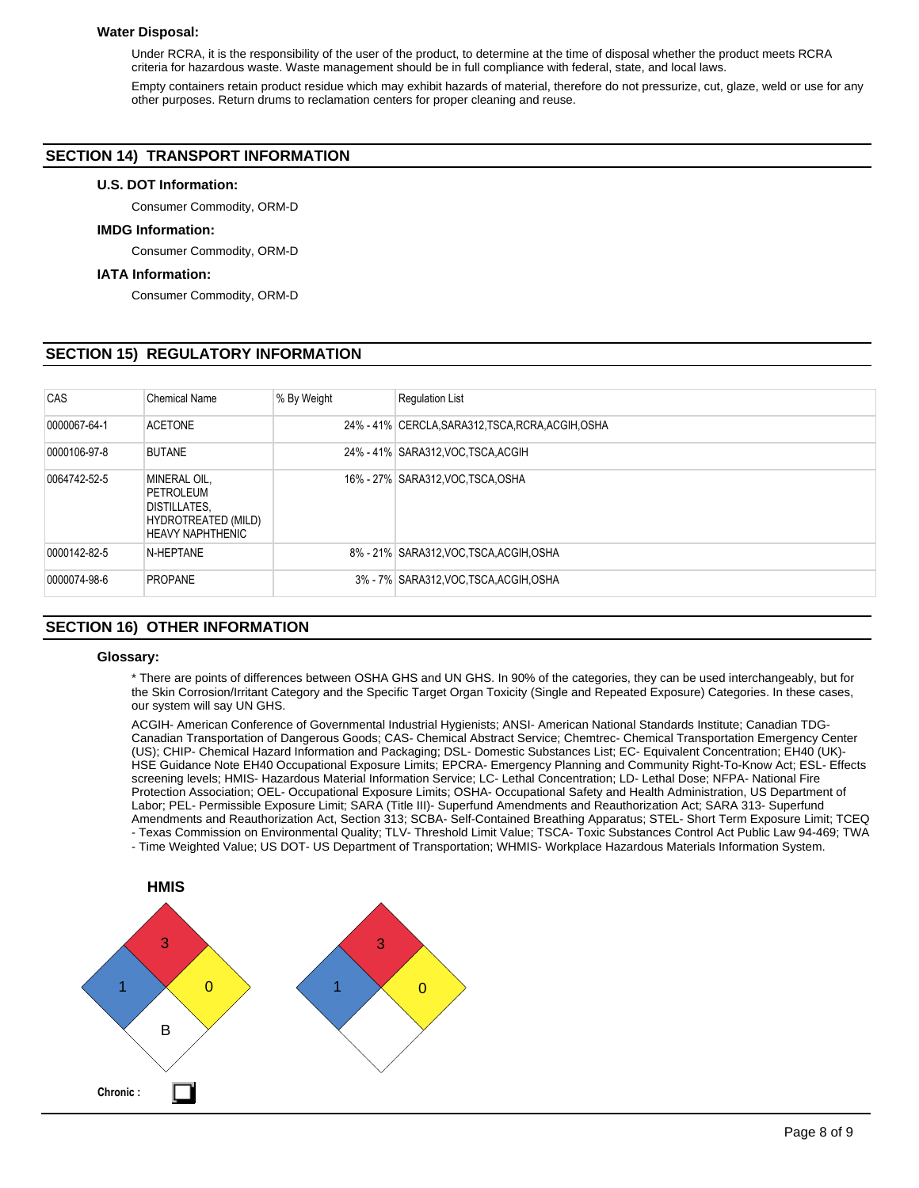#### **Water Disposal:**

Under RCRA, it is the responsibility of the user of the product, to determine at the time of disposal whether the product meets RCRA criteria for hazardous waste. Waste management should be in full compliance with federal, state, and local laws.

Empty containers retain product residue which may exhibit hazards of material, therefore do not pressurize, cut, glaze, weld or use for any other purposes. Return drums to reclamation centers for proper cleaning and reuse.

## **SECTION 14) TRANSPORT INFORMATION**

#### **U.S. DOT Information:**

Consumer Commodity, ORM-D

## **IMDG Information:**

Consumer Commodity, ORM-D

#### **IATA Information:**

Consumer Commodity, ORM-D

## **SECTION 15) REGULATORY INFORMATION**

| CAS          | <b>Chemical Name</b>                                                                        | % By Weight | <b>Regulation List</b>                             |
|--------------|---------------------------------------------------------------------------------------------|-------------|----------------------------------------------------|
| 0000067-64-1 | <b>ACETONE</b>                                                                              |             | 24% - 41% CERCLA, SARA312, TSCA, RCRA, ACGIH, OSHA |
| 0000106-97-8 | <b>BUTANE</b>                                                                               |             | 24% - 41% SARA312, VOC TSCA, ACGIH                 |
| 0064742-52-5 | MINERAL OIL,<br>PETROLEUM<br>DISTILLATES,<br>HYDROTREATED (MILD)<br><b>HEAVY NAPHTHENIC</b> |             | 16% - 27% SARA312, VOC TSCA, OSHA                  |
| 0000142-82-5 | N-HEPTANE                                                                                   |             | 8% - 21% SARA312, VOC, TSCA, ACGIH, OSHA           |
| 0000074-98-6 | <b>PROPANE</b>                                                                              |             | 3% - 7% SARA312, VOC, TSCA, ACGIH, OSHA            |

## **SECTION 16) OTHER INFORMATION**

#### **Glossary:**

\* There are points of differences between OSHA GHS and UN GHS. In 90% of the categories, they can be used interchangeably, but for the Skin Corrosion/Irritant Category and the Specific Target Organ Toxicity (Single and Repeated Exposure) Categories. In these cases, our system will say UN GHS.

ACGIH- American Conference of Governmental Industrial Hygienists; ANSI- American National Standards Institute; Canadian TDG-Canadian Transportation of Dangerous Goods; CAS- Chemical Abstract Service; Chemtrec- Chemical Transportation Emergency Center (US); CHIP- Chemical Hazard Information and Packaging; DSL- Domestic Substances List; EC- Equivalent Concentration; EH40 (UK)- HSE Guidance Note EH40 Occupational Exposure Limits; EPCRA- Emergency Planning and Community Right-To-Know Act; ESL- Effects screening levels; HMIS- Hazardous Material Information Service; LC- Lethal Concentration; LD- Lethal Dose; NFPA- National Fire Protection Association; OEL- Occupational Exposure Limits; OSHA- Occupational Safety and Health Administration, US Department of Labor; PEL- Permissible Exposure Limit; SARA (Title III)- Superfund Amendments and Reauthorization Act; SARA 313- Superfund Amendments and Reauthorization Act, Section 313; SCBA- Self-Contained Breathing Apparatus; STEL- Short Term Exposure Limit; TCEQ - Texas Commission on Environmental Quality; TLV- Threshold Limit Value; TSCA- Toxic Substances Control Act Public Law 94-469; TWA - Time Weighted Value; US DOT- US Department of Transportation; WHMIS- Workplace Hazardous Materials Information System.